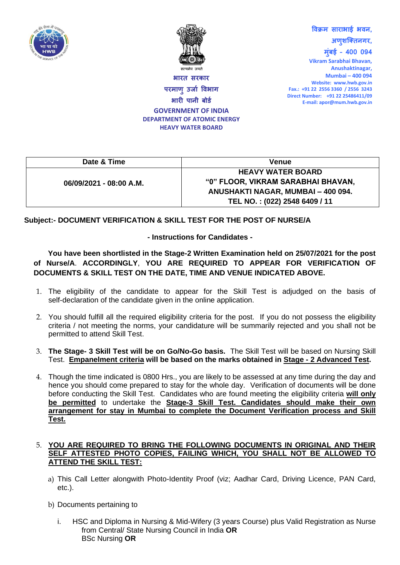



**भारि सरकार परमाणुउर्ाा विभाग भारी पानी बोर्ा GOVERNMENT OF INDIA DEPARTMENT OF ATOMIC ENERGY HEAVY WATER BOARD**

**Vikram Sarabhai Bhavan, Anushaktinagar, Mumbai – 400 094 Website: www.hwb.gov.in Fax.: +91 22 2556 3360 / 2556 3243 Direct Number: +91 22 25486411/09 E-mail: apor@mum.hwb.gov.in**

**विक्रम साराभाई भिन,**

**अणुशक्तिनगर, मुुंबई – 400 094**

**Date & Time Venue 06/09/2021 - 08:00 A.M. HEAVY WATER BOARD "0" FLOOR, VIKRAM SARABHAI BHAVAN, ANUSHAKTI NAGAR, MUMBAI – 400 094. TEL NO. : (022) 2548 6409 / 11**

## **Subject:- DOCUMENT VERIFICATION & SKILL TEST FOR THE POST OF NURSE/A**

## **- Instructions for Candidates -**

## **You have been shortlisted in the Stage-2 Written Examination held on 25/07/2021 for the post of Nurse/A**. **ACCORDINGLY**, **YOU ARE REQUIRED TO APPEAR FOR VERIFICATION OF DOCUMENTS & SKILL TEST ON THE DATE, TIME AND VENUE INDICATED ABOVE.**

- 1. The eligibility of the candidate to appear for the Skill Test is adjudged on the basis of self-declaration of the candidate given in the online application.
- 2. You should fulfill all the required eligibility criteria for the post. If you do not possess the eligibility criteria / not meeting the norms, your candidature will be summarily rejected and you shall not be permitted to attend Skill Test.
- 3. **The Stage- 3 Skill Test will be on Go/No-Go basis.** The Skill Test will be based on Nursing Skill Test. **Empanelment criteria will be based on the marks obtained in Stage - 2 Advanced Test.**
- 4. Though the time indicated is 0800 Hrs., you are likely to be assessed at any time during the day and hence you should come prepared to stay for the whole day. Verification of documents will be done before conducting the Skill Test. Candidates who are found meeting the eligibility criteria **will only be permitted** to undertake the **Stage-3 Skill Test. Candidates should make their own arrangement for stay in Mumbai to complete the Document Verification process and Skill Test.**

## 5. **YOU ARE REQUIRED TO BRING THE FOLLOWING DOCUMENTS IN ORIGINAL AND THEIR SELF ATTESTED PHOTO COPIES, FAILING WHICH, YOU SHALL NOT BE ALLOWED TO ATTEND THE SKILL TEST:**

- a) This Call Letter alongwith Photo-Identity Proof (viz; Aadhar Card, Driving Licence, PAN Card, etc.).
- b) Documents pertaining to
	- i. HSC and Diploma in Nursing & Mid-Wifery (3 years Course) plus Valid Registration as Nurse from Central/ State Nursing Council in India **OR** BSc Nursing **OR**